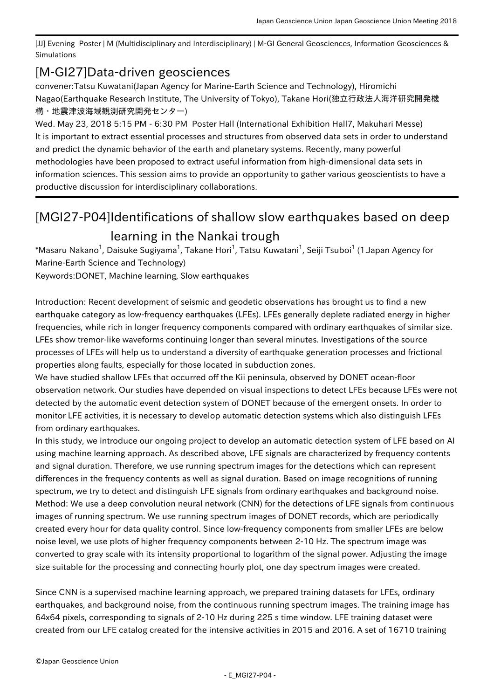[JJ] Evening Poster | M (Multidisciplinary and Interdisciplinary) | M-GI General Geosciences, Information Geosciences & Simulations

## [M-GI27] Data-driven geosciences

convener:Tatsu Kuwatani(Japan Agency for Marine-Earth Science and Technology), Hiromichi Nagao(Earthquake Research Institute, The University of Tokyo), Takane Hori(独立行政法人海洋研究開発機 構・地震津波海域観測研究開発センター)

Wed. May 23, 2018 5:15 PM - 6:30 PM Poster Hall (International Exhibition Hall7, Makuhari Messe) It is important to extract essential processes and structures from observed data sets in order to understand and predict the dynamic behavior of the earth and planetary systems. Recently, many powerful methodologies have been proposed to extract useful information from high-dimensional data sets in information sciences. This session aims to provide an opportunity to gather various geoscientists to have a productive discussion for interdisciplinary collaborations.

## [MGI27-P04] Identifications of shallow slow earthquakes based on deep learning in the Nankai trough

\*Masaru Nakano<sup>1</sup>, Daisuke Sugiyama<sup>1</sup>, Takane Hori<sup>1</sup>, Tatsu Kuwatani<sup>1</sup>, Seiji Tsuboi<sup>1</sup> (1.Japan Agency for Marine-Earth Science and Technology)

Keywords:DONET, Machine learning, Slow earthquakes

Introduction: Recent development of seismic and geodetic observations has brought us to find a new earthquake category as low-frequency earthquakes (LFEs). LFEs generally deplete radiated energy in higher frequencies, while rich in longer frequency components compared with ordinary earthquakes of similar size. LFEs show tremor-like waveforms continuing longer than several minutes. Investigations of the source processes of LFEs will help us to understand a diversity of earthquake generation processes and frictional properties along faults, especially for those located in subduction zones.

We have studied shallow LFEs that occurred off the Kii peninsula, observed by DONET ocean-floor observation network. Our studies have depended on visual inspections to detect LFEs because LFEs were not detected by the automatic event detection system of DONET because of the emergent onsets. In order to monitor LFE activities, it is necessary to develop automatic detection systems which also distinguish LFEs from ordinary earthquakes.

In this study, we introduce our ongoing project to develop an automatic detection system of LFE based on AI using machine learning approach. As described above, LFE signals are characterized by frequency contents and signal duration. Therefore, we use running spectrum images for the detections which can represent differences in the frequency contents as well as signal duration. Based on image recognitions of running spectrum, we try to detect and distinguish LFE signals from ordinary earthquakes and background noise. Method: We use a deep convolution neural network (CNN) for the detections of LFE signals from continuous images of running spectrum. We use running spectrum images of DONET records, which are periodically created every hour for data quality control. Since low-frequency components from smaller LFEs are below noise level, we use plots of higher frequency components between 2-10 Hz. The spectrum image was converted to gray scale with its intensity proportional to logarithm of the signal power. Adjusting the image size suitable for the processing and connecting hourly plot, one day spectrum images were created.

Since CNN is a supervised machine learning approach, we prepared training datasets for LFEs, ordinary earthquakes, and background noise, from the continuous running spectrum images. The training image has 64x64 pixels, corresponding to signals of 2-10 Hz during 225 s time window. LFE training dataset were created from our LFE catalog created for the intensive activities in 2015 and 2016. A set of 16710 training